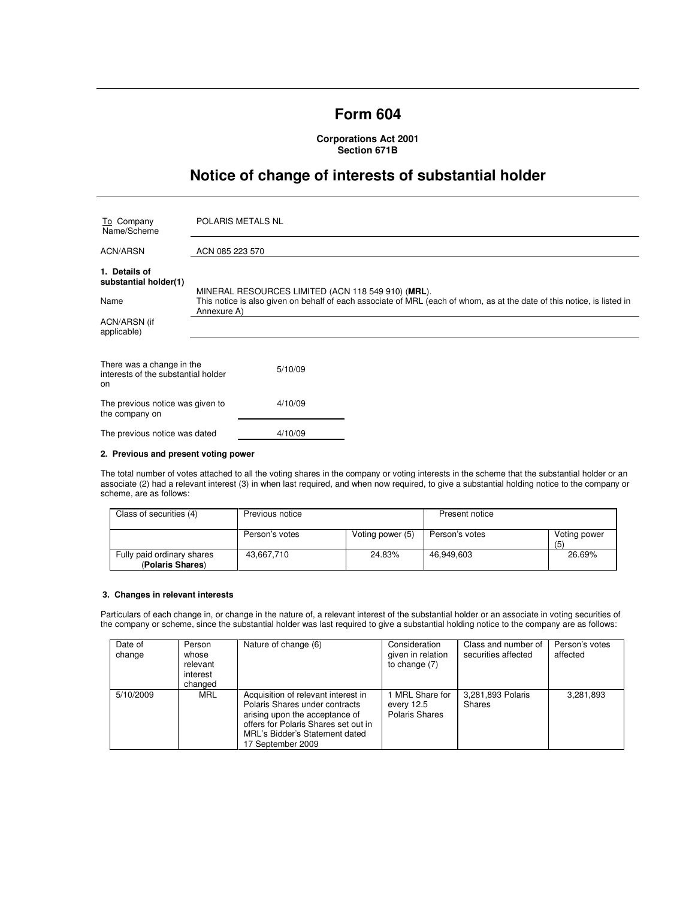## **Form 604**

**Corporations Act 2001 Section 671B** 

# **Notice of change of interests of substantial holder**

| To Company<br>Name/Scheme                                              | <b>POLARIS METALS NL</b>                                                                                                                                                                     |  |  |
|------------------------------------------------------------------------|----------------------------------------------------------------------------------------------------------------------------------------------------------------------------------------------|--|--|
| <b>ACN/ARSN</b>                                                        | ACN 085 223 570                                                                                                                                                                              |  |  |
| 1. Details of<br>substantial holder(1)<br>Name                         | MINERAL RESOURCES LIMITED (ACN 118 549 910) (MRL).<br>This notice is also given on behalf of each associate of MRL (each of whom, as at the date of this notice, is listed in<br>Annexure A) |  |  |
| ACN/ARSN (if<br>applicable)                                            |                                                                                                                                                                                              |  |  |
| There was a change in the<br>interests of the substantial holder<br>on | 5/10/09                                                                                                                                                                                      |  |  |
| The previous notice was given to<br>the company on                     | 4/10/09                                                                                                                                                                                      |  |  |
| The previous notice was dated                                          | 4/10/09                                                                                                                                                                                      |  |  |

#### **2. Previous and present voting power**

The total number of votes attached to all the voting shares in the company or voting interests in the scheme that the substantial holder or an associate (2) had a relevant interest (3) in when last required, and when now required, to give a substantial holding notice to the company or scheme, are as follows:

| Class of securities (4)                        | Previous notice |                  | Present notice |                    |
|------------------------------------------------|-----------------|------------------|----------------|--------------------|
|                                                | Person's votes  | Voting power (5) | Person's votes | Voting power<br>(5 |
| Fully paid ordinary shares<br>(Polaris Shares) | 43.667.710      | 24.83%           | 46.949.603     | 26.69%             |

#### **3. Changes in relevant interests**

Particulars of each change in, or change in the nature of, a relevant interest of the substantial holder or an associate in voting securities of the company or scheme, since the substantial holder was last required to give a substantial holding notice to the company are as follows:

| Date of<br>change | Person<br>whose<br>relevant<br>interest<br>changed | Nature of change (6)                                                                                                                                                                                   | Consideration<br>given in relation<br>to change $(7)$ | Class and number of<br>securities affected | Person's votes<br>affected |
|-------------------|----------------------------------------------------|--------------------------------------------------------------------------------------------------------------------------------------------------------------------------------------------------------|-------------------------------------------------------|--------------------------------------------|----------------------------|
| 5/10/2009         | MRL                                                | Acquisition of relevant interest in<br>Polaris Shares under contracts<br>arising upon the acceptance of<br>offers for Polaris Shares set out in<br>MRL's Bidder's Statement dated<br>17 September 2009 | MRL Share for<br>every 12.5<br>Polaris Shares         | 3,281,893 Polaris<br><b>Shares</b>         | 3,281,893                  |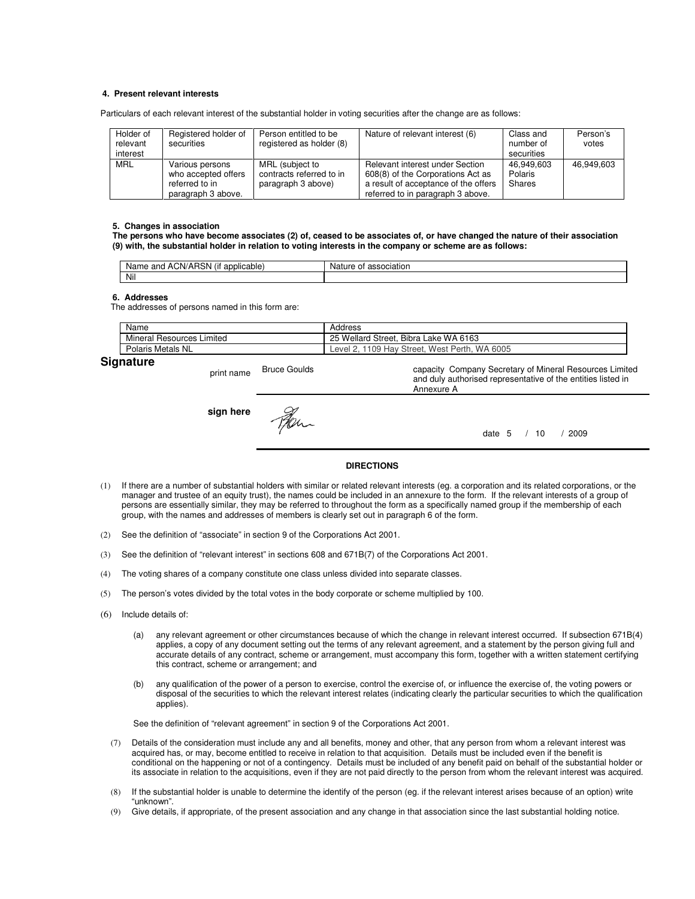#### **4. Present relevant interests**

Particulars of each relevant interest of the substantial holder in voting securities after the change are as follows:

| Holder of<br>relevant<br>interest | Registered holder of<br>securities                                             | Person entitled to be<br>registered as holder (8)                 | Nature of relevant interest (6)                                                                                                                   | Class and<br>number of<br>securities | Person's<br>votes |
|-----------------------------------|--------------------------------------------------------------------------------|-------------------------------------------------------------------|---------------------------------------------------------------------------------------------------------------------------------------------------|--------------------------------------|-------------------|
| <b>MRL</b>                        | Various persons<br>who accepted offers<br>referred to in<br>paragraph 3 above. | MRL (subject to<br>contracts referred to in<br>paragraph 3 above) | Relevant interest under Section<br>608(8) of the Corporations Act as<br>a result of acceptance of the offers<br>referred to in paragraph 3 above. | 46.949.603<br>Polaris<br>Shares      | 46.949.603        |

#### **5. Changes in association**

**The persons who have become associates (2) of, ceased to be associates of, or have changed the nature of their association (9) with, the substantial holder in relation to voting interests in the company or scheme are as follows:** 

| <br><br>ı<br>.`N/AI<br>and<br>applicable<br>Nai<br>. 15N .<br>7 AU<br>не | Naī.<br>ure.<br>ociatio.<br>IJ |
|--------------------------------------------------------------------------|--------------------------------|
| Nil                                                                      |                                |

#### **6. Addresses**

The addresses of persons named in this form are:

| Name                      | Address                                       |
|---------------------------|-----------------------------------------------|
| Mineral Resources Limited | 25 Wellard Street, Bibra Lake WA 6163         |
| Polaris Metals NL         | Level 2, 1109 Hay Street, West Perth, WA 6005 |
| Sianaturo                 |                                               |

### **Signature**

print name Bruce Goulds

**sign here** Man

capacity Company Secretary of Mineral Resources Limited and duly authorised representative of the entities listed in Annexure A

date 5 / 10 / 2009

#### **DIRECTIONS**

- (1) If there are a number of substantial holders with similar or related relevant interests (eg. a corporation and its related corporations, or the manager and trustee of an equity trust), the names could be included in an annexure to the form. If the relevant interests of a group of persons are essentially similar, they may be referred to throughout the form as a specifically named group if the membership of each group, with the names and addresses of members is clearly set out in paragraph 6 of the form.
- (2) See the definition of "associate" in section 9 of the Corporations Act 2001.
- (3) See the definition of "relevant interest" in sections 608 and 671B(7) of the Corporations Act 2001.
- (4) The voting shares of a company constitute one class unless divided into separate classes.
- (5) The person's votes divided by the total votes in the body corporate or scheme multiplied by 100.
- (6) Include details of:
	- (a) any relevant agreement or other circumstances because of which the change in relevant interest occurred. If subsection 671B(4) applies, a copy of any document setting out the terms of any relevant agreement, and a statement by the person giving full and accurate details of any contract, scheme or arrangement, must accompany this form, together with a written statement certifying this contract, scheme or arrangement; and
	- (b) any qualification of the power of a person to exercise, control the exercise of, or influence the exercise of, the voting powers or disposal of the securities to which the relevant interest relates (indicating clearly the particular securities to which the qualification applies).

See the definition of "relevant agreement" in section 9 of the Corporations Act 2001.

- (7) Details of the consideration must include any and all benefits, money and other, that any person from whom a relevant interest was acquired has, or may, become entitled to receive in relation to that acquisition. Details must be included even if the benefit is conditional on the happening or not of a contingency. Details must be included of any benefit paid on behalf of the substantial holder or its associate in relation to the acquisitions, even if they are not paid directly to the person from whom the relevant interest was acquired.
- (8) If the substantial holder is unable to determine the identify of the person (eg. if the relevant interest arises because of an option) write "unknown".
- (9) Give details, if appropriate, of the present association and any change in that association since the last substantial holding notice.